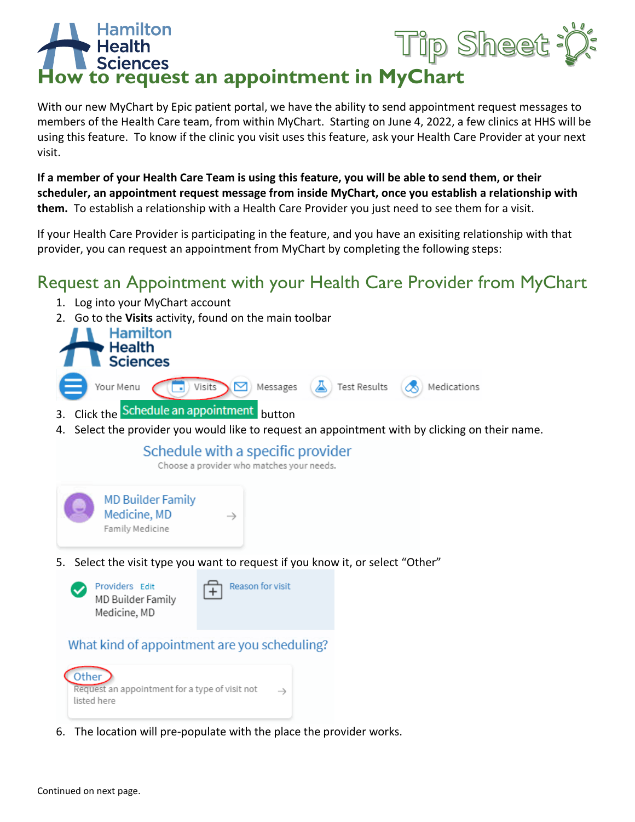# ip Sheet **How to request an appointment in MyChart**

With our new MyChart by Epic patient portal, we have the ability to send appointment request messages to members of the Health Care team, from within MyChart. Starting on June 4, 2022, a few clinics at HHS will be using this feature. To know if the clinic you visit uses this feature, ask your Health Care Provider at your next visit.

**If a member of your Health Care Team is using this feature, you will be able to send them, or their scheduler, an appointment request message from inside MyChart, once you establish a relationship with them.** To establish a relationship with a Health Care Provider you just need to see them for a visit.

If your Health Care Provider is participating in the feature, and you have an exisiting relationship with that provider, you can request an appointment from MyChart by completing the following steps:

# Request an Appointment with your Health Care Provider from MyChart

- 1. Log into your MyChart account
- 2. Go to the **Visits** activity, found on the main toolbar



- 3. Click the Schedule an appointment button
- 4. Select the provider you would like to request an appointment with by clicking on their name.

## Schedule with a specific provider

Choose a provider who matches your needs.



5. Select the visit type you want to request if you know it, or select "Other"



## What kind of appointment are you scheduling?



6. The location will pre-populate with the place the provider works.